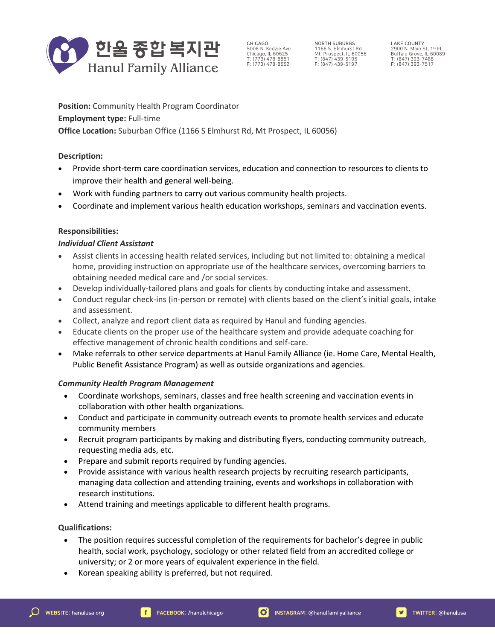

CHICAGO 5008 N. Kedzie Ave<br>Chicago, IL 60625<br>T: (773) 478-8851  $F: (773) 478 - 8552$ 

NORTH SUBURBS 1166 S. Elmhurst Rd<br>Mt. Prospect, IL 60056<br>T: (847) 439-5195  $F: (847) 439 - 5197$ 

**LAKE COUNTY** LANE CUOINT<br>2900 N. Main St, 1st FL<br>Buffalo Grove, IL 60089<br>T: (847) 393-7488<br>F: (847) 393-7517

**Position:** Community Health Program Coordinator **Employment type:** Full-time **Office Location:** Suburban Office (1166 S Elmhurst Rd, Mt Prospect, IL 60056)

## **Description:**

- Provide short-term care coordination services, education and connection to resources to clients to improve their health and general well-being.
- Work with funding partners to carry out various community health projects.
- Coordinate and implement various health education workshops, seminars and vaccination events.

# **Responsibilities:**

## *Individual Client Assistant*

- Assist clients in accessing health related services, including but not limited to: obtaining a medical home, providing instruction on appropriate use of the healthcare services, overcoming barriers to obtaining needed medical care and /or social services.
- Develop individually-tailored plans and goals for clients by conducting intake and assessment.
- Conduct regular check-ins (in-person or remote) with clients based on the client's initial goals, intake and assessment.
- Collect, analyze and report client data as required by Hanul and funding agencies.
- Educate clients on the proper use of the healthcare system and provide adequate coaching for effective management of chronic health conditions and self-care.
- Make referrals to other service departments at Hanul Family Alliance (ie. Home Care, Mental Health, Public Benefit Assistance Program) as well as outside organizations and agencies.

## *Community Health Program Management*

- Coordinate workshops, seminars, classes and free health screening and vaccination events in collaboration with other health organizations.
- Conduct and participate in community outreach events to promote health services and educate community members
- Recruit program participants by making and distributing flyers, conducting community outreach, requesting media ads, etc.
- Prepare and submit reports required by funding agencies.
- Provide assistance with various health research projects by recruiting research participants, managing data collection and attending training, events and workshops in collaboration with research institutions.
- Attend training and meetings applicable to different health programs.

## **Qualifications:**

- The position requires successful completion of the requirements for bachelor's degree in public health, social work, psychology, sociology or other related field from an accredited college or university; or 2 or more years of equivalent experience in the field.
- Korean speaking ability is preferred, but not required.

 $\mathbf{v}$